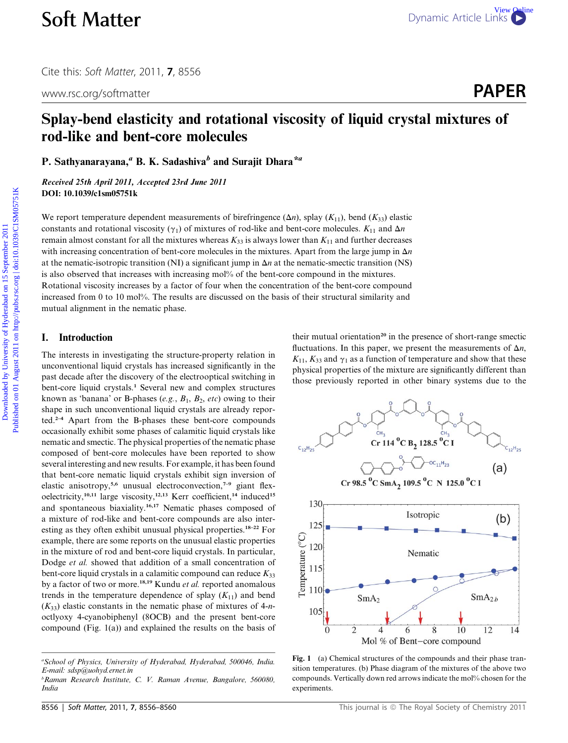www.rsc.org/softmatter **PAPER** 

# Splay-bend elasticity and rotational viscosity of liquid crystal mixtures of rod-like and bent-core molecules

P. Sathyanarayana,<sup>*a*</sup> B. K. Sadashiva<sup>b</sup> and Surajit Dhara<sup>\**a*</sup>

Received 25th April 2011, Accepted 23rd June 2011 DOI: 10.1039/c1sm05751k

We report temperature dependent measurements of birefringence  $(\Delta n)$ , splay  $(K_{11})$ , bend  $(K_{33})$  elastic constants and rotational viscosity ( $\gamma_1$ ) of mixtures of rod-like and bent-core molecules.  $K_{11}$  and  $\Delta n$ remain almost constant for all the mixtures whereas  $K_{33}$  is always lower than  $K_{11}$  and further decreases with increasing concentration of bent-core molecules in the mixtures. Apart from the large jump in  $\Delta n$ at the nematic-isotropic transition (NI) a significant jump in  $\Delta n$  at the nematic-smectic transition (NS) is also observed that increases with increasing mol% of the bent-core compound in the mixtures. Rotational viscosity increases by a factor of four when the concentration of the bent-core compound increased from 0 to 10 mol%. The results are discussed on the basis of their structural similarity and mutual alignment in the nematic phase. **Soft Matter Download Comparistic Control Control Control Control Control Control Control Control Control Control Control Control Control Control Control Control Control Control Control Control Control Control Control Con** 

#### I. Introduction

The interests in investigating the structure-property relation in unconventional liquid crystals has increased significantly in the past decade after the discovery of the electrooptical switching in bent-core liquid crystals.<sup>1</sup> Several new and complex structures known as 'banana' or B-phases (e.g.,  $B_1$ ,  $B_2$ , etc) owing to their shape in such unconventional liquid crystals are already reported.2–4 Apart from the B-phases these bent-core compounds occasionally exhibit some phases of calamitic liquid crystals like nematic and smectic. The physical properties of the nematic phase composed of bent-core molecules have been reported to show several interesting and new results. For example, it has been found that bent-core nematic liquid crystals exhibit sign inversion of elastic anisotropy,<sup>5,6</sup> unusual electroconvection,<sup>7-9</sup> giant flexoelectricity,<sup>10,11</sup> large viscosity,<sup>12,13</sup> Kerr coefficient,<sup>14</sup> induced<sup>15</sup> and spontaneous biaxiality.16,17 Nematic phases composed of a mixture of rod-like and bent-core compounds are also interesting as they often exhibit unusual physical properties.18–22 For example, there are some reports on the unusual elastic properties in the mixture of rod and bent-core liquid crystals. In particular, Dodge et al. showed that addition of a small concentration of bent-core liquid crystals in a calamitic compound can reduce  $K_{33}$ by a factor of two or more.<sup>18,19</sup> Kundu et al. reported anomalous trends in the temperature dependence of splay  $(K_{11})$  and bend  $(K_{33})$  elastic constants in the nematic phase of mixtures of 4-noctlyoxy 4-cyanobiphenyl (8OCB) and the present bent-core compound (Fig. 1(a)) and explained the results on the basis of

their mutual orientation<sup>20</sup> in the presence of short-range smectic fluctuations. In this paper, we present the measurements of  $\Delta n$ ,  $K_{11}$ ,  $K_{33}$  and  $\gamma_1$  as a function of temperature and show that these physical properties of the mixture are significantly different than those previously reported in other binary systems due to the



Fig. 1 (a) Chemical structures of the compounds and their phase transition temperatures. (b) Phase diagram of the mixtures of the above two compounds. Vertically down red arrows indicate the mol% chosen for the experiments.

a School of Physics, University of Hyderabad, Hyderabad, 500046, India. E-mail: sdsp@uohyd.ernet.in

b Raman Research Institute, C. V. Raman Avenue, Bangalore, 560080, India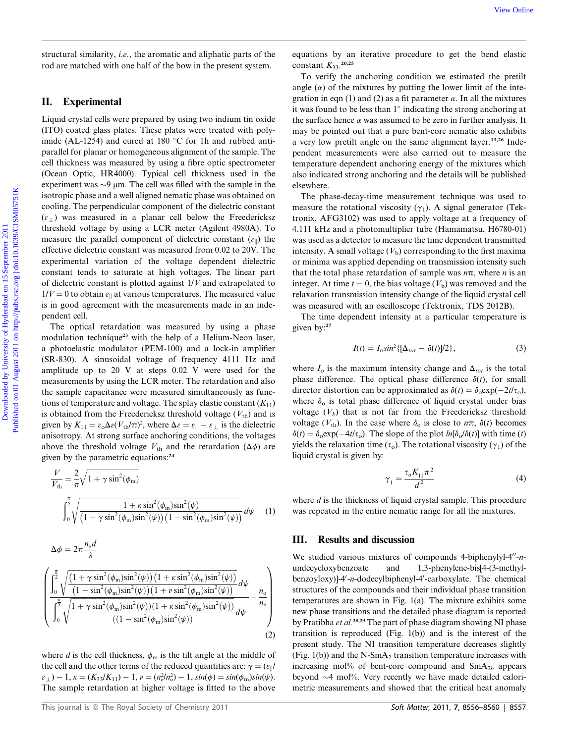structural similarity, *i.e.*, the aromatic and aliphatic parts of the rod are matched with one half of the bow in the present system.

### II. Experimental

Liquid crystal cells were prepared by using two indium tin oxide (ITO) coated glass plates. These plates were treated with polyimide (AL-1254) and cured at 180  $\degree$ C for 1h and rubbed antiparallel for planar or homogeneous alignment of the sample. The cell thickness was measured by using a fibre optic spectrometer (Ocean Optic, HR4000). Typical cell thickness used in the experiment was  $\sim$ 9  $\mu$ m. The cell was filled with the sample in the isotropic phase and a well aligned nematic phase was obtained on cooling. The perpendicular component of the dielectric constant  $(\varepsilon_+)$  was measured in a planar cell below the Freedericksz threshold voltage by using a LCR meter (Agilent 4980A). To measure the parallel component of dielectric constant  $(\varepsilon_{\parallel})$  the effective dielectric constant was measured from 0.02 to 20V. The experimental variation of the voltage dependent dielectric constant tends to saturate at high voltages. The linear part of dielectric constant is plotted against 1/V and extrapolated to  $1/V = 0$  to obtain  $\varepsilon_{\parallel}$  at various temperatures. The measured value is in good agreement with the measurements made in an independent cell. [View Online](http://dx.doi.org/10.1039/C1SM05751K)<br>
structural semi-heat system. The constraints of the semi-heat system. The constraints of an external on the material on the hyderabad on the simulated by the simulated by Download on the simulated by the simu

The optical retardation was measured by using a phase modulation technique<sup>23</sup> with the help of a Helium-Neon laser, a photoelastic modulator (PEM-100) and a lock-in amplifier (SR-830). A sinusoidal voltage of frequency 4111 Hz and amplitude up to 20 V at steps 0.02 V were used for the measurements by using the LCR meter. The retardation and also the sample capacitance were measured simultaneously as functions of temperature and voltage. The splay elastic constant  $(K_{11})$ is obtained from the Freedericksz threshold voltage  $(V_{th})$  and is given by  $K_{11} = \varepsilon_{0} \Delta \varepsilon (V_{\text{th}}/\pi)^{2}$ , where  $\Delta \varepsilon = \varepsilon_{\parallel} - \varepsilon_{\perp}$  is the dielectric anisotropy. At strong surface anchoring conditions, the voltages above the threshold voltage  $V_{\text{th}}$  and the retardation ( $\Delta \phi$ ) are given by the parametric equations:<sup>24</sup>

$$
\frac{V}{V_{\text{th}}} = \frac{2}{\pi} \sqrt{1 + \gamma \sin^2(\phi_m)}
$$
\n
$$
\int_0^{\frac{\pi}{2}} \sqrt{\frac{1 + \kappa \sin^2(\phi_m) \sin^2(\psi)}{(1 + \gamma \sin^2(\phi_m) \sin^2(\psi)) (1 - \sin^2(\phi_m) \sin^2(\psi))}} d\psi \quad (1)
$$

$$
\Delta \phi = 2\pi \frac{n_{\rm e}d}{\lambda}
$$
\n
$$
\int_0^{\frac{\pi}{2}} \frac{\sqrt{\left(1 + \gamma \sin^2(\phi_{\rm m})\sin^2(\psi)\right)\left(1 + \kappa \sin^2(\phi_{\rm m})\sin^2(\psi)\right)}}{\left(\frac{\pi}{2}\sqrt{\frac{1 - \sin^2(\phi_{\rm m})\sin^2(\psi)\right)\left(1 + \nu \sin^2(\phi_{\rm m})\sin^2(\psi)\right)}}{\left(\frac{\pi}{2}\sqrt{1 + \gamma \sin^2(\phi_{\rm m})\sin^2(\psi)\right)\left(1 + \kappa \sin^2(\phi_{\rm m})\sin^2(\psi)\right)}} d\psi - \frac{n_{\rm e}}{n_{\rm e}}
$$
\n
$$
\int_0^{\frac{\pi}{2}} \sqrt{\frac{1 + \gamma \sin^2(\phi_{\rm m})\sin^2(\psi)\left(1 + \kappa \sin^2(\phi_{\rm m})\sin^2(\psi)\right)}{\left((1 - \sin^2(\phi_{\rm m})\sin^2(\psi)\right)}} d\psi} d\psi
$$
\n
$$
(2)
$$

where d is the cell thickness,  $\phi_m$  is the tilt angle at the middle of the cell and the other terms of the reduced quantities are:  $\gamma = (\varepsilon_{\parallel}/2)$  $\varepsilon_{\perp}$ ) – 1,  $\kappa = (K_{33}/K_{11}) - 1$ ,  $\nu = (n_c^2/n_o^2) - 1$ ,  $sin(\phi) = sin(\phi_m)sin(\psi)$ . The sample retardation at higher voltage is fitted to the above

equations by an iterative procedure to get the bend elastic constant  $K_{33}$ <sup>20,25</sup>

To verify the anchoring condition we estimated the pretilt angle  $(\alpha)$  of the mixtures by putting the lower limit of the integration in eqn (1) and (2) as a fit parameter  $\alpha$ . In all the mixtures it was found to be less than  $1^\circ$  indicating the strong anchoring at the surface hence  $\alpha$  was assumed to be zero in further analysis. It may be pointed out that a pure bent-core nematic also exhibits a very low pretilt angle on the same alignment layer.13,26 Independent measurements were also carried out to measure the temperature dependent anchoring energy of the mixtures which also indicated strong anchoring and the details will be published elsewhere.

The phase-decay-time measurement technique was used to measure the rotational viscosity  $(\gamma_1)$ . A signal generator (Tektronix, AFG3102) was used to apply voltage at a frequency of 4.111 kHz and a photomultiplier tube (Hamamatsu, H6780-01) was used as a detector to measure the time dependent transmitted intensity. A small voltage  $(V<sub>b</sub>)$  corresponding to the first maxima or minima was applied depending on transmission intensity such that the total phase retardation of sample was  $n\pi$ , where *n* is an integer. At time  $t = 0$ , the bias voltage  $(V<sub>b</sub>)$  was removed and the relaxation transmission intensity change of the liquid crystal cell was measured with an oscilloscope (Tektronix, TDS 2012B).

The time dependent intensity at a particular temperature is given by:<sup>27</sup>

$$
I(t) = I_0 \sin^2\{[\Delta_{tot} - \delta(t)]/2\},\tag{3}
$$

where  $I_0$  is the maximum intensity change and  $\Delta_{tot}$  is the total phase difference. The optical phase difference  $\delta(t)$ , for small director distortion can be approximated as  $\delta(t) = \delta_0 \exp(-2t/\tau_0)$ , where  $\delta_0$  is total phase difference of liquid crystal under bias voltage  $(V_b)$  that is not far from the Freedericksz threshold voltage ( $V_{\text{th}}$ ). In the case where  $\delta_{0}$  is close to  $n\pi$ ,  $\delta(t)$  becomes  $\delta(t) = \delta_0 \exp(-4t/\tau_0)$ . The slope of the plot  $ln[\delta_0/\delta(t)]$  with time (t) yields the relaxation time ( $\tau_o$ ). The rotational viscosity ( $\gamma_1$ ) of the liquid crystal is given by:

$$
\gamma_1 = \frac{\tau_0 K_{11} \pi^2}{d^2} \tag{4}
$$

where  $d$  is the thickness of liquid crystal sample. This procedure was repeated in the entire nematic range for all the mixtures.

#### III. Results and discussion

We studied various mixtures of compounds 4-biphenylyl-4 $n$ undecycloxybenzoate and 1,3-phenylene-bis[4-(3-methylbenzoyloxy)]-4'-n-dodecylbiphenyl-4'-carboxylate. The chemical structures of the compounds and their individual phase transition temperatures are shown in Fig. 1(a). The mixture exhibits some new phase transitions and the detailed phase diagram is reported by Pratibha et al.<sup>28,29</sup> The part of phase diagram showing NI phase transition is reproduced (Fig. 1(b)) and is the interest of the present study. The NI transition temperature decreases slightly (Fig. 1(b)) and the  $N-SmA<sub>2</sub>$  transition temperature increases with increasing mol% of bent-core compound and  $SmA_{2b}$  appears beyond  $\sim$ 4 mol%. Very recently we have made detailed calorimetric measurements and showed that the critical heat anomaly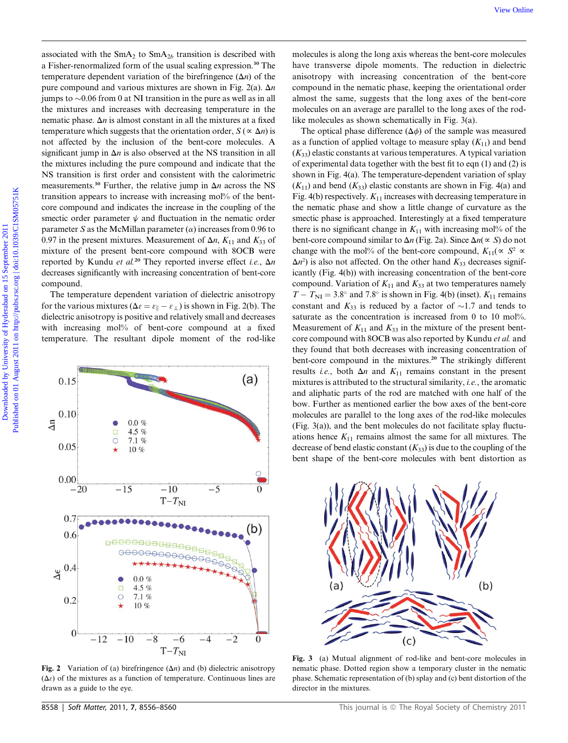associated with the  $SmA_2$  to  $SmA_{2b}$  transition is described with a Fisher-renormalized form of the usual scaling expression.<sup>30</sup> The temperature dependent variation of the birefringence  $(\Delta n)$  of the pure compound and various mixtures are shown in Fig. 2(a).  $\Delta n$ jumps to  $\sim 0.06$  from 0 at NI transition in the pure as well as in all the mixtures and increases with decreasing temperature in the nematic phase.  $\Delta n$  is almost constant in all the mixtures at a fixed temperature which suggests that the orientation order,  $S(\alpha \Delta n)$  is not affected by the inclusion of the bent-core molecules. A significant jump in  $\Delta n$  is also observed at the NS transition in all the mixtures including the pure compound and indicate that the NS transition is first order and consistent with the calorimetric measurements.<sup>30</sup> Further, the relative jump in  $\Delta n$  across the NS transition appears to increase with increasing mol% of the bentcore compound and indicates the increase in the coupling of the smectic order parameter  $\psi$  and fluctuation in the nematic order parameter S as the McMillan parameter  $(\alpha)$  increases from 0.96 to 0.97 in the present mixtures. Measurement of  $\Delta n$ ,  $K_{11}$  and  $K_{33}$  of mixture of the present bent-core compound with 8OCB were reported by Kundu et al.<sup>20</sup> They reported inverse effect *i.e.*,  $\Delta n$ decreases significantly with increasing concentration of bent-core compound.

The temperature dependent variation of dielectric anisotropy for the various mixtures ( $\Delta \epsilon = \epsilon_{\parallel} - \epsilon_{\perp}$ ) is shown in Fig. 2(b). The dielectric anisotropy is positive and relatively small and decreases with increasing mol% of bent-core compound at a fixed temperature. The resultant dipole moment of the rod-like



Fig. 2 Variation of (a) birefringence  $(\Delta n)$  and (b) dielectric anisotropy  $(\Delta \varepsilon)$  of the mixtures as a function of temperature. Continuous lines are drawn as a guide to the eye.

molecules is along the long axis whereas the bent-core molecules have transverse dipole moments. The reduction in dielectric anisotropy with increasing concentration of the bent-core compound in the nematic phase, keeping the orientational order almost the same, suggests that the long axes of the bent-core molecules on an average are parallel to the long axes of the rodlike molecules as shown schematically in Fig. 3(a).

The optical phase difference  $(\Delta \phi)$  of the sample was measured as a function of applied voltage to measure splay  $(K_{11})$  and bend  $(K_{33})$  elastic constants at various temperatures. A typical variation of experimental data together with the best fit to eqn (1) and (2) is shown in Fig. 4(a). The temperature-dependent variation of splay  $(K_{11})$  and bend  $(K_{33})$  elastic constants are shown in Fig. 4(a) and Fig. 4(b) respectively.  $K_{11}$  increases with decreasing temperature in the nematic phase and show a little change of curvature as the smectic phase is approached. Interestingly at a fixed temperature there is no significant change in  $K_{11}$  with increasing mol% of the bent-core compound similar to  $\Delta n$  (Fig. 2a). Since  $\Delta n(\propto S)$  do not change with the mol% of the bent-core compound,  $K_{11}(\propto S^2 \propto$  $\Delta n^2$ ) is also not affected. On the other hand  $K_{33}$  decreases significantly (Fig. 4(b)) with increasing concentration of the bent-core compound. Variation of  $K_{11}$  and  $K_{33}$  at two temperatures namely  $T - T_{\text{NI}} = 3.8^{\circ}$  and 7.8° is shown in Fig. 4(b) (inset).  $K_{11}$  remains constant and  $K_{33}$  is reduced by a factor of  $\sim$ 1.7 and tends to saturate as the concentration is increased from 0 to 10 mol%. Measurement of  $K_{11}$  and  $K_{33}$  in the mixture of the present bentcore compound with 8OCB was also reported by Kundu et al. and they found that both decreases with increasing concentration of bent-core compound in the mixtures.<sup>20</sup> The strikingly different results *i.e.*, both  $\Delta n$  and  $K_{11}$  remains constant in the present mixtures is attributed to the structural similarity, i.e., the aromatic and aliphatic parts of the rod are matched with one half of the bow. Further as mentioned earlier the bow axes of the bent-core molecules are parallel to the long axes of the rod-like molecules (Fig. 3(a)), and the bent molecules do not facilitate splay fluctuations hence  $K_{11}$  remains almost the same for all mixtures. The decrease of bend elastic constant  $(K_{33})$  is due to the coupling of the bent shape of the bent-core molecules with bent distortion as We Collis<br>
meccannel of the Strivy of Strivy terminion is described with realisating the long-strive dipole means of the Euries contains of the Euries of Constant and the collision of the Deliver contains and the collisio



Fig. 3 (a) Mutual alignment of rod-like and bent-core molecules in nematic phase. Dotted region show a temporary cluster in the nematic phase. Schematic representation of (b) splay and (c) bent distortion of the director in the mixtures.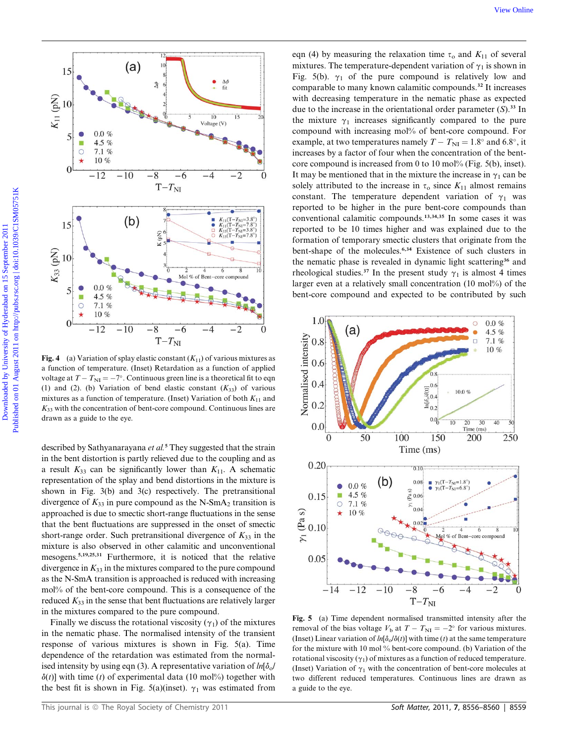

Fig. 4 (a) Variation of splay elastic constant  $(K_{11})$  of various mixtures as a function of temperature. (Inset) Retardation as a function of applied voltage at  $T - T_{\text{NI}} = -7^{\circ}$ . Continuous green line is a theoretical fit to eqn (1) and (2). (b) Variation of bend elastic constant  $(K_{33})$  of various mixtures as a function of temperature. (Inset) Variation of both  $K_{11}$  and  $K_{33}$  with the concentration of bent-core compound. Continuous lines are drawn as a guide to the eye.

described by Sathyanarayana  $et al.^5$  They suggested that the strain in the bent distortion is partly relieved due to the coupling and as a result  $K_{33}$  can be significantly lower than  $K_{11}$ . A schematic representation of the splay and bend distortions in the mixture is shown in Fig. 3(b) and 3(c) respectively. The pretransitional divergence of  $K_{33}$  in pure compound as the N-SmA<sub>2</sub> transition is approached is due to smectic short-range fluctuations in the sense that the bent fluctuations are suppressed in the onset of smectic short-range order. Such pretransitional divergence of  $K_{33}$  in the mixture is also observed in other calamitic and unconventional mesogens.5,19,25,31 Furthermore, it is noticed that the relative divergence in  $K_{33}$  in the mixtures compared to the pure compound as the N-SmA transition is approached is reduced with increasing mol% of the bent-core compound. This is a consequence of the reduced  $K_{33}$  in the sense that bent fluctuations are relatively larger in the mixtures compared to the pure compound.

Finally we discuss the rotational viscosity  $(\gamma_1)$  of the mixtures in the nematic phase. The normalised intensity of the transient response of various mixtures is shown in Fig. 5(a). Time dependence of the retardation was estimated from the normalised intensity by using eqn (3). A representative variation of  $ln[\delta_0/$  $\delta(t)$ ] with time (t) of experimental data (10 mol%) together with the best fit is shown in Fig. 5(a)(inset).  $\gamma_1$  was estimated from

eqn (4) by measuring the relaxation time  $\tau_0$  and  $K_{11}$  of several mixtures. The temperature-dependent variation of  $\gamma_1$  is shown in Fig. 5(b).  $\gamma_1$  of the pure compound is relatively low and comparable to many known calamitic compounds.<sup>32</sup> It increases with decreasing temperature in the nematic phase as expected due to the increase in the orientational order parameter  $(S)$ .<sup>33</sup> In the mixture  $\gamma_1$  increases significantly compared to the pure compound with increasing mol% of bent-core compound. For example, at two temperatures namely  $T - T_{\text{NI}} = 1.8^{\circ}$  and 6.8°, it increases by a factor of four when the concentration of the bentcore compound is increased from 0 to 10 mol% (Fig. 5(b), inset). It may be mentioned that in the mixture the increase in  $\gamma_1$  can be solely attributed to the increase in  $\tau_0$  since  $K_{11}$  almost remains constant. The temperature dependent variation of  $\gamma_1$  was reported to be higher in the pure bent-core compounds than conventional calamitic compounds.13,34,35 In some cases it was reported to be 10 times higher and was explained due to the formation of temporary smectic clusters that originate from the bent-shape of the molecules.<sup>6,34</sup> Existence of such clusters in the nematic phase is revealed in dynamic light scattering<sup>36</sup> and rheological studies.<sup>37</sup> In the present study  $\gamma_1$  is almost 4 times larger even at a relatively small concentration (10 mol%) of the bent-core compound and expected to be contributed by such



Fig. 5 (a) Time dependent normalised transmitted intensity after the removal of the bias voltage  $V_b$  at  $T - T_{\text{NI}} = -2^{\circ}$  for various mixtures. (Inset) Linear variation of  $ln[\delta_0/\delta(t)]$  with time (t) at the same temperature for the mixture with 10 mol % bent-core compound. (b) Variation of the rotational viscosity  $(\gamma_1)$  of mixtures as a function of reduced temperature. (Inset) Variation of  $\gamma_1$  with the concentration of bent-core molecules at two different reduced temperatures. Continuous lines are drawn as a guide to the eye.